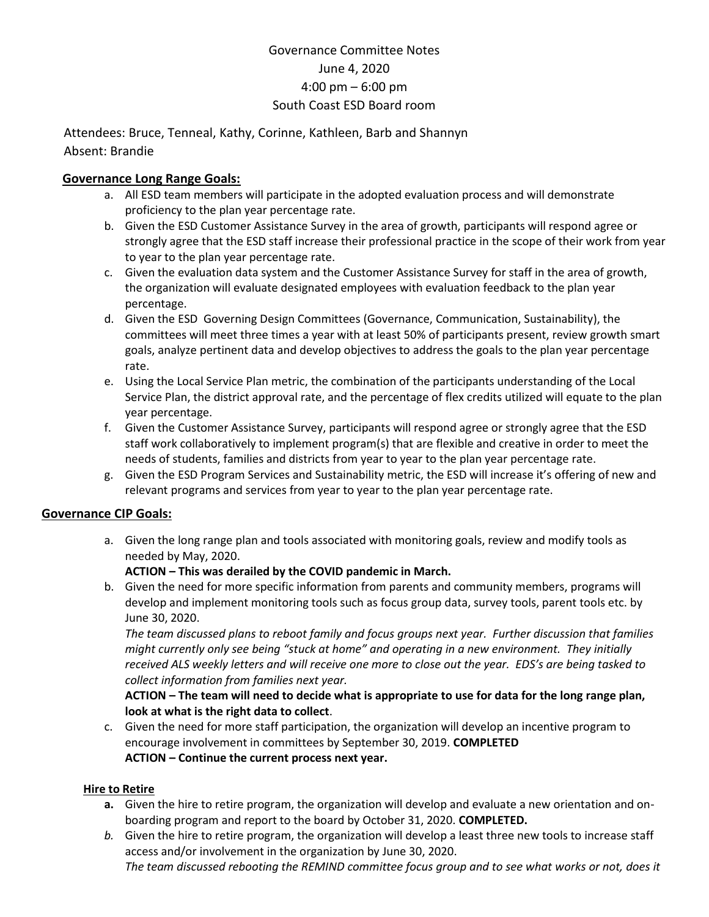# Governance Committee Notes June 4, 2020 4:00 pm – 6:00 pm South Coast ESD Board room

 Attendees: Bruce, Tenneal, Kathy, Corinne, Kathleen, Barb and Shannyn Absent: Brandie

### **Governance Long Range Goals:**

- a. All ESD team members will participate in the adopted evaluation process and will demonstrate proficiency to the plan year percentage rate.
- b. Given the ESD Customer Assistance Survey in the area of growth, participants will respond agree or strongly agree that the ESD staff increase their professional practice in the scope of their work from year to year to the plan year percentage rate.
- c. Given the evaluation data system and the Customer Assistance Survey for staff in the area of growth, the organization will evaluate designated employees with evaluation feedback to the plan year percentage.
- d. Given the ESD Governing Design Committees (Governance, Communication, Sustainability), the committees will meet three times a year with at least 50% of participants present, review growth smart goals, analyze pertinent data and develop objectives to address the goals to the plan year percentage rate.
- e. Using the Local Service Plan metric, the combination of the participants understanding of the Local Service Plan, the district approval rate, and the percentage of flex credits utilized will equate to the plan year percentage.
- f. Given the Customer Assistance Survey, participants will respond agree or strongly agree that the ESD staff work collaboratively to implement program(s) that are flexible and creative in order to meet the needs of students, families and districts from year to year to the plan year percentage rate.
- g. Given the ESD Program Services and Sustainability metric, the ESD will increase it's offering of new and relevant programs and services from year to year to the plan year percentage rate.

#### **Governance CIP Goals:**

a. Given the long range plan and tools associated with monitoring goals, review and modify tools as needed by May, 2020.

#### **ACTION – This was derailed by the COVID pandemic in March.**

b. Given the need for more specific information from parents and community members, programs will develop and implement monitoring tools such as focus group data, survey tools, parent tools etc. by June 30, 2020.

*The team discussed plans to reboot family and focus groups next year. Further discussion that families might currently only see being "stuck at home" and operating in a new environment. They initially received ALS weekly letters and will receive one more to close out the year. EDS's are being tasked to collect information from families next year.*

**ACTION – The team will need to decide what is appropriate to use for data for the long range plan, look at what is the right data to collect**.

c. Given the need for more staff participation, the organization will develop an incentive program to encourage involvement in committees by September 30, 2019. **COMPLETED ACTION – Continue the current process next year.**

#### **Hire to Retire**

- **a.** Given the hire to retire program, the organization will develop and evaluate a new orientation and onboarding program and report to the board by October 31, 2020. **COMPLETED.**
- *b.* Given the hire to retire program, the organization will develop a least three new tools to increase staff access and/or involvement in the organization by June 30, 2020. *The team discussed rebooting the REMIND committee focus group and to see what works or not, does it*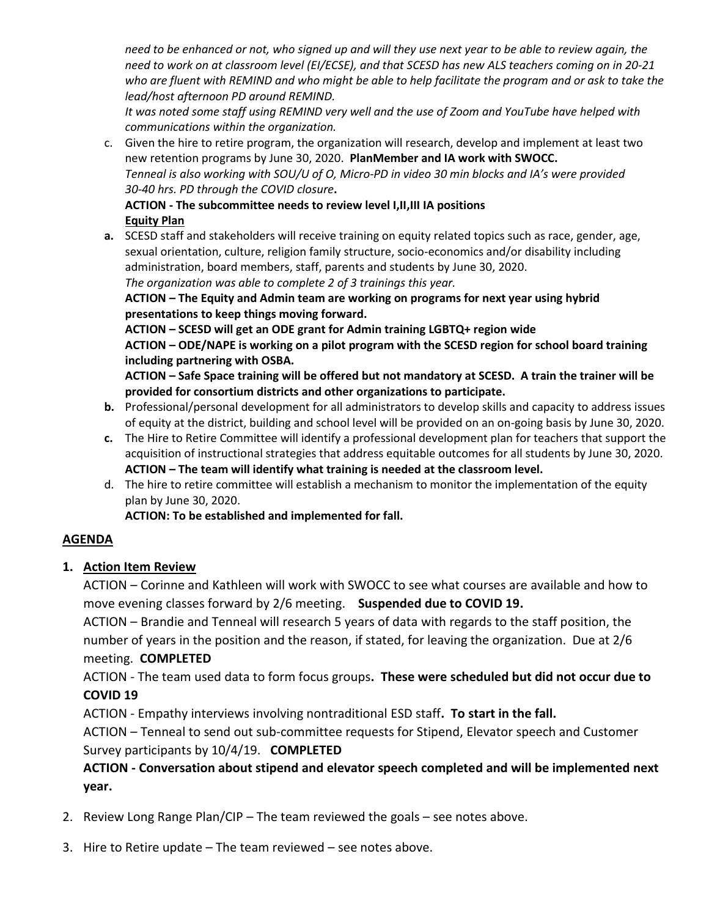*need to be enhanced or not, who signed up and will they use next year to be able to review again, the need to work on at classroom level (EI/ECSE), and that SCESD has new ALS teachers coming on in 20-21 who are fluent with REMIND and who might be able to help facilitate the program and or ask to take the lead/host afternoon PD around REMIND.*

*It was noted some staff using REMIND very well and the use of Zoom and YouTube have helped with communications within the organization.*

c. Given the hire to retire program, the organization will research, develop and implement at least two new retention programs by June 30, 2020. **PlanMember and IA work with SWOCC.**  *Tenneal is also working with SOU/U of O, Micro-PD in video 30 min blocks and IA's were provided 30-40 hrs. PD through the COVID closure***.**

#### **ACTION - The subcommittee needs to review level I,II,III IA positions Equity Plan**

**a.** SCESD staff and stakeholders will receive training on equity related topics such as race, gender, age, sexual orientation, culture, religion family structure, socio-economics and/or disability including administration, board members, staff, parents and students by June 30, 2020. *The organization was able to complete 2 of 3 trainings this year.*

**ACTION – The Equity and Admin team are working on programs for next year using hybrid presentations to keep things moving forward.**

**ACTION – SCESD will get an ODE grant for Admin training LGBTQ+ region wide ACTION – ODE/NAPE is working on a pilot program with the SCESD region for school board training including partnering with OSBA.**

**ACTION – Safe Space training will be offered but not mandatory at SCESD. A train the trainer will be provided for consortium districts and other organizations to participate.** 

- **b.** Professional/personal development for all administrators to develop skills and capacity to address issues of equity at the district, building and school level will be provided on an on-going basis by June 30, 2020.
- **c.** The Hire to Retire Committee will identify a professional development plan for teachers that support the acquisition of instructional strategies that address equitable outcomes for all students by June 30, 2020. **ACTION – The team will identify what training is needed at the classroom level.**
- d. The hire to retire committee will establish a mechanism to monitor the implementation of the equity plan by June 30, 2020.

**ACTION: To be established and implemented for fall.**

## **AGENDA**

## **1. Action Item Review**

ACTION – Corinne and Kathleen will work with SWOCC to see what courses are available and how to move evening classes forward by 2/6 meeting. **Suspended due to COVID 19.**

ACTION – Brandie and Tenneal will research 5 years of data with regards to the staff position, the number of years in the position and the reason, if stated, for leaving the organization. Due at 2/6 meeting. **COMPLETED**

ACTION - The team used data to form focus groups**. These were scheduled but did not occur due to COVID 19**

ACTION - Empathy interviews involving nontraditional ESD staff**. To start in the fall.**

ACTION – Tenneal to send out sub-committee requests for Stipend, Elevator speech and Customer Survey participants by 10/4/19. **COMPLETED**

# **ACTION - Conversation about stipend and elevator speech completed and will be implemented next year.**

- 2. Review Long Range Plan/CIP The team reviewed the goals see notes above.
- 3. Hire to Retire update The team reviewed see notes above.